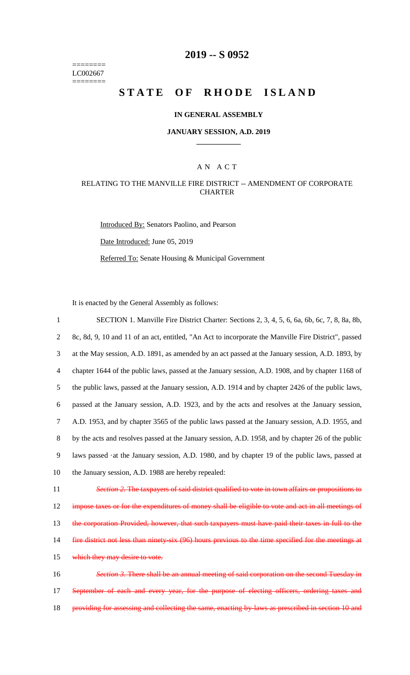======== LC002667 ========

# **2019 -- S 0952**

# STATE OF RHODE ISLAND

#### **IN GENERAL ASSEMBLY**

#### **JANUARY SESSION, A.D. 2019 \_\_\_\_\_\_\_\_\_\_\_\_**

#### A N A C T

### RELATING TO THE MANVILLE FIRE DISTRICT -- AMENDMENT OF CORPORATE CHARTER

Introduced By: Senators Paolino, and Pearson

Date Introduced: June 05, 2019

Referred To: Senate Housing & Municipal Government

It is enacted by the General Assembly as follows:

| $\mathbf{1}$   | SECTION 1. Manville Fire District Charter: Sections 2, 3, 4, 5, 6, 6a, 6b, 6c, 7, 8, 8a, 8b,         |
|----------------|------------------------------------------------------------------------------------------------------|
| $\overline{2}$ | 8c, 8d, 9, 10 and 11 of an act, entitled, "An Act to incorporate the Manville Fire District", passed |
| 3              | at the May session, A.D. 1891, as amended by an act passed at the January session, A.D. 1893, by     |
| 4              | chapter 1644 of the public laws, passed at the January session, A.D. 1908, and by chapter 1168 of    |
| 5              | the public laws, passed at the January session, A.D. 1914 and by chapter 2426 of the public laws,    |
| 6              | passed at the January session, A.D. 1923, and by the acts and resolves at the January session,       |
| $\tau$         | A.D. 1953, and by chapter 3565 of the public laws passed at the January session, A.D. 1955, and      |
| 8              | by the acts and resolves passed at the January session, A.D. 1958, and by chapter 26 of the public   |
| 9              | laws passed at the January session, A.D. 1980, and by chapter 19 of the public laws, passed at       |
| 10             | the January session, A.D. 1988 are hereby repealed:                                                  |
| 11             | Section 2. The taxpayers of said district qualified to vote in town affairs or propositions to       |
| 12             | impose taxes or for the expenditures of money shall be eligible to vote and act in all meetings of   |
| 13             | the corporation Provided, however, that such taxpayers must have paid their taxes in full to the     |
| 14             | fire district not less than ninety-six (96) hours previous to the time specified for the meetings at |
| 15             | which they may desire to vote.                                                                       |
| 16             | Section 3. There shall be an annual meeting of said corporation on the second Tuesday in             |
| 17             | September of each and every year, for the purpose of electing officers, ordering taxes and           |
| 18             | providing for assessing and collecting the same, enacting by laws as prescribed in section 10 and    |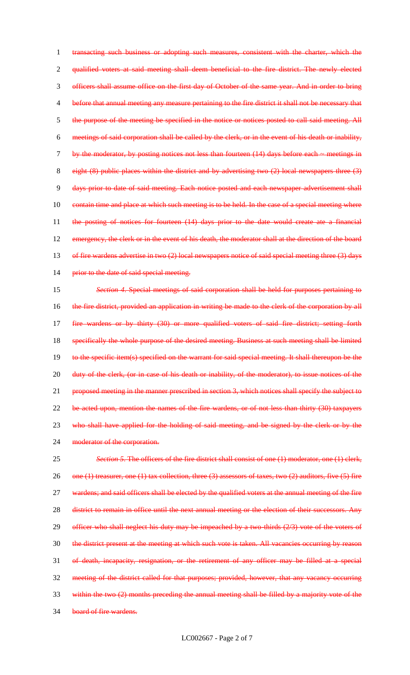transacting such business or adopting such measures, consistent with the charter, which the qualified voters at said meeting shall deem beneficial to the fire district. The newly elected officers shall assume office on the first day of October of the same year. And in order to bring before that annual meeting any measure pertaining to the fire district it shall not be necessary that the purpose of the meeting be specified in the notice or notices posted to call said meeting. All meetings of said corporation shall be called by the clerk, or in the event of his death or inability, 7 by the moderator, by posting notices not less than fourteen (14) days before each ~ meetings in eight (8) public places within the district and by advertising two (2) local newspapers three (3) days prior to date of said meeting. Each notice posted and each newspaper advertisement shall 10 contain time and place at which such meeting is to be held. In the case of a special meeting where the posting of notices for fourteen (14) days prior to the date would create ate a financial 12 emergency, the clerk or in the event of his death, the moderator shall at the direction of the board 13 of fire wardens advertise in two (2) local newspapers notice of said special meeting three (3) days 14 prior to the date of said special meeting.

15 *Section 4*. Special meetings of said corporation shall be held for purposes pertaining to 16 the fire district, provided an application in writing be made to the clerk of the corporation by all 17 fire wardens or by thirty (30) or more qualified voters of said fire district; setting forth 18 specifically the whole purpose of the desired meeting. Business at such meeting shall be limited 19 to the specific item(s) specified on the warrant for said special meeting. It shall thereupon be the 20 duty of the clerk, (or in case of his death or inability, of the moderator), to issue notices of the 21 proposed meeting in the manner prescribed in section 3, which notices shall specify the subject to 22 be acted upon, mention the names of the fire wardens, or of not less than thirty (30) taxpayers 23 who shall have applied for the holding of said meeting, and be signed by the clerk or by the 24 moderator of the corporation.

25 *Section 5*. The officers of the fire district shall consist of one (1) moderator, one (1) clerk, 26 one (1) treasurer, one (1) tax collection, three (3) assessors of taxes, two (2) auditors, five (5) fire 27 wardens; and said officers shall be elected by the qualified voters at the annual meeting of the fire 28 district to remain in office until the next annual meeting or the election of their successors. Any 29 officer who shall neglect his duty may be impeached by a two-thirds (2/3) vote of the voters of 30 the district present at the meeting at which such vote is taken. All vacancies occurring by reason 31 of death, incapacity, resignation, or the retirement of any officer may be filled at a special 32 meeting of the district called for that purposes; provided, however, that any vacancy occurring 33 within the two (2) months preceding the annual meeting shall be filled by a majority vote of the 34 board of fire wardens.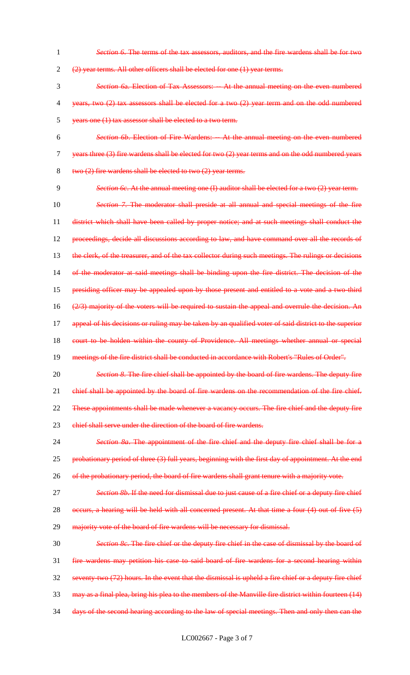*Section 6*. The terms of the tax assessors, auditors, and the fire wardens shall be for two

(2) year terms. All other officers shall be elected for one (1) year terms.

- *Section 6*a. Election of Tax Assessors: -- At the annual meeting on the even numbered years, two (2) tax assessors shall be elected for a two (2) year term and on the odd numbered years one (1) tax assessor shall be elected to a two term.
- *Section 6b*. Election of Fire Wardens: -- At the annual meeting on the even numbered years three (3) fire wardens shall be elected for two (2) year terms and on the odd numbered years two (2) fire wardens shall be elected to two (2) year terms.
- *Section 6c*. At the annual meeting one (I) auditor shall be elected for a two (2) year term. *Section 7*. The moderator shall preside at all annual and special meetings of the fire district which shall have been called by proper notice; and at such meetings shall conduct the 12 proceedings, decide all discussions according to law, and have command over all the records of 13 the clerk, of the treasurer, and of the tax collector during such meetings. The rulings or decisions of the moderator at said meetings shall be binding upon the fire district. The decision of the 15 presiding officer may be appealed upon by those present and entitled to a vote and a two third (2/3) majority of the voters will be required to sustain the appeal and overrule the decision. An 17 appeal of his decisions or ruling may be taken by an qualified voter of said district to the superior 18 court to be holden within the county of Providence. All meetings whether annual or special meetings of the fire district shall be conducted in accordance with Robert's "Rules of Order".
- *Section 8*. The fire chief shall be appointed by the board of fire wardens. The deputy fire 21 chief shall be appointed by the board of fire wardens on the recommendation of the fire chief. 22 These appointments shall be made whenever a vacancy occurs. The fire chief and the deputy fire
- 23 ehief shall serve under the direction of the board of fire wardens.
- *Section 8a*. The appointment of the fire chief and the deputy fire chief shall be for a 25 probationary period of three (3) full years, beginning with the first day of appointment. At the end 26 of the probationary period, the board of fire wardens shall grant tenure with a majority vote.
- *Section 8b*. If the need for dismissal due to just cause of a fire chief or a deputy fire chief 28 occurs, a hearing will be held with all concerned present. At that time a four (4) out of five (5)
- 29 majority vote of the board of fire wardens will be necessary for dismissal.
- *Section 8c*. The fire chief or the deputy fire chief in the case of dismissal by the board of fire wardens may petition his case to said board of fire wardens for a second hearing within seventy-two (72) hours. In the event that the dismissal is upheld a fire chief or a deputy fire chief may as a final plea, bring his plea to the members of the Manville fire district within fourteen (14) days of the second hearing according to the law of special meetings. Then and only then can the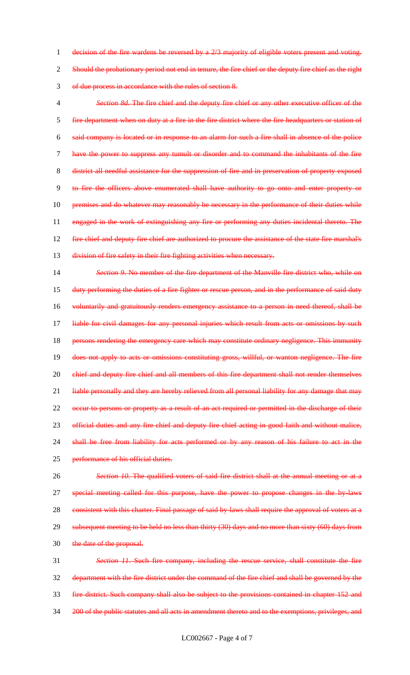1 decision of the fire wardens be reversed by a 2/3 majority of eligible voters present and voting. 2 Should the probationary period not end in tenure, the fire chief or the deputy fire chief as the right 3 of due process in accordance with the rules of section 8.

 *Section 8d*. The fire chief and the deputy fire chief or any other executive officer of the fire department when on duty at a fire in the fire district where the fire headquarters or station of said company is located or in response to an alarm for such a fire shall in absence of the police have the power to suppress any tumult or disorder and to command the inhabitants of the fire district all needful assistance for the suppression of fire and in preservation of property exposed to fire the officers above enumerated shall have authority to go onto and enter property or 10 premises and do whatever may reasonably be necessary in the performance of their duties while engaged in the work of extinguishing any fire or performing any duties incidental thereto. The 12 fire chief and deputy fire chief are authorized to procure the assistance of the state fire marshal's 13 division of fire safety in their fire fighting activities when necessary.

14 *Section 9*. No member of the fire department of the Manville fire district who, while on 15 duty performing the duties of a fire fighter or rescue person, and in the performance of said duty 16 voluntarily and gratuitously renders emergency assistance to a person in need thereof, shall be 17 liable for civil damages for any personal injuries which result from acts or omissions by such 18 persons rendering the emergency care which may constitute ordinary negligence. This immunity 19 does not apply to acts or omissions constituting gross, willful, or wanton negligence. The fire 20 chief and deputy fire chief and all members of this fire department shall not render themselves 21 liable personally and they are hereby relieved from all personal liability for any damage that may 22 occur to persons or property as a result of an act required or permitted in the discharge of their 23 official duties and any fire chief and deputy fire chief acting in good faith and without malice, 24 shall be free from liability for acts performed or by any reason of his failure to act in the 25 performance of his official duties.

26 *Section 10*. The qualified voters of said fire district shall at the annual meeting or at a 27 special meeting called for this purpose, have the power to propose changes in the by-laws 28 consistent with this charter. Final passage of said by laws shall require the approval of voters at a 29 subsequent meeting to be held no less than thirty (30) days and no more than sixty (60) days from 30 the date of the proposal.

 *Section 11*. Such fire company, including the rescue service, shall constitute the fire department with the fire district under the command of the fire chief and shall be governed by the fire district. Such company shall also be subject to the provisions contained in chapter 152 and 34 200 of the public statutes and all acts in amendment thereto and to the exemptions, privileges, and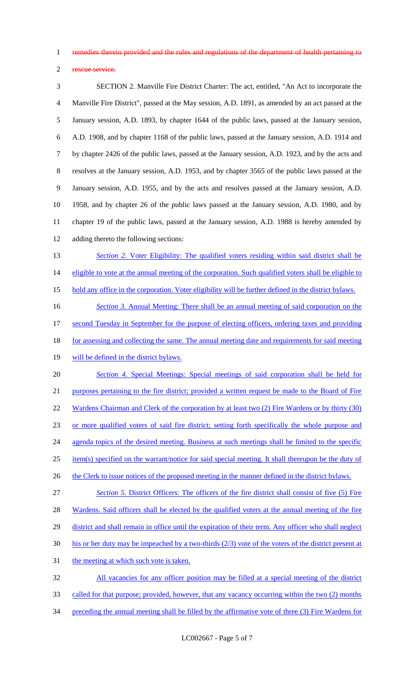remedies therein provided and the rules and regulations of the department of health pertaining to

rescue service.

 SECTION 2. Manville Fire District Charter: The act, entitled, "An Act to incorporate the Manville Fire District", passed at the May session, A.D. 1891, as amended by an act passed at the January session, A.D. 1893, by chapter 1644 of the public laws, passed at the January session, A.D. 1908, and by chapter 1168 of the public laws, passed at the January session, A.D. 1914 and by chapter 2426 of the public laws, passed at the January session, A.D. 1923, and by the acts and resolves at the January session, A.D. 1953, and by chapter 3565 of the public laws passed at the January session, A.D. 1955, and by the acts and resolves passed at the January session, A.D. 1958, and by chapter 26 of the public laws passed at the January session, A.D. 1980, and by chapter 19 of the public laws, passed at the January session, A.D. 1988 is hereby amended by adding thereto the following sections: **Section 2. Voter Eligibility: The qualified voters residing within said district shall be** 14 eligible to vote at the annual meeting of the corporation. Such qualified voters shall be eligible to hold any office in the corporation. Voter eligibility will be further defined in the district bylaws. *Section 3.* Annual Meeting: There shall be an annual meeting of said corporation on the

- second Tuesday in September for the purpose of electing officers, ordering taxes and providing 18 for assessing and collecting the same. The annual meeting date and requirements for said meeting
- 19 will be defined in the district bylaws.

 *Section 4.* Special Meetings: Special meetings of said corporation shall be held for purposes pertaining to the fire district; provided a written request be made to the Board of Fire 22 Wardens Chairman and Clerk of the corporation by at least two (2) Fire Wardens or by thirty (30) or more qualified voters of said fire district; setting forth specifically the whole purpose and 24 agenda topics of the desired meeting. Business at such meetings shall be limited to the specific item(s) specified on the warrant/notice for said special meeting. It shall thereupon be the duty of 26 the Clerk to issue notices of the proposed meeting in the manner defined in the district bylaws.

 *Section 5*. District Officers: The officers of the fire district shall consist of five (5) Fire 28 Wardens. Said officers shall be elected by the qualified voters at the annual meeting of the fire 29 district and shall remain in office until the expiration of their term. Any officer who shall neglect his or her duty may be impeached by a two-thirds (2/3) vote of the voters of the district present at

31 the meeting at which such vote is taken.

 All vacancies for any officer position may be filled at a special meeting of the district 33 called for that purpose; provided, however, that any vacancy occurring within the two (2) months preceding the annual meeting shall be filled by the affirmative vote of three (3) Fire Wardens for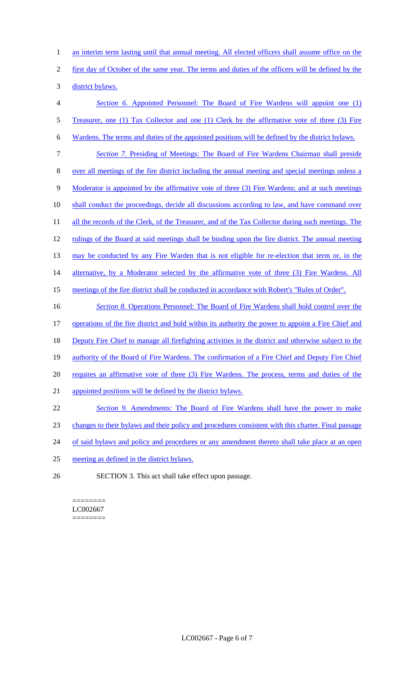1 an interim term lasting until that annual meeting. All elected officers shall assume office on the

2 first day of October of the same year. The terms and duties of the officers will be defined by the

3 district bylaws.

4 *Section 6.* Appointed Personnel: The Board of Fire Wardens will appoint one (1) 5 Treasurer, one (1) Tax Collector and one (1) Clerk by the affirmative vote of three (3) Fire 6 Wardens. The terms and duties of the appointed positions will be defined by the district bylaws. 7 *Section 7.* Presiding of Meetings: The Board of Fire Wardens Chairman shall preside 8 over all meetings of the fire district including the annual meeting and special meetings unless a 9 Moderator is appointed by the affirmative vote of three (3) Fire Wardens; and at such meetings 10 shall conduct the proceedings, decide all discussions according to law, and have command over 11 all the records of the Clerk, of the Treasurer, and of the Tax Collector during such meetings. The 12 rulings of the Board at said meetings shall be binding upon the fire district. The annual meeting

13 may be conducted by any Fire Warden that is not eligible for re-election that term or, in the

14 alternative, by a Moderator selected by the affirmative vote of three (3) Fire Wardens. All

15 meetings of the fire district shall be conducted in accordance with Robert's "Rules of Order".

 *Section 8.* Operations Personnel: The Board of Fire Wardens shall hold control over the operations of the fire district and hold within its authority the power to appoint a Fire Chief and Deputy Fire Chief to manage all firefighting activities in the district and otherwise subject to the 19 authority of the Board of Fire Wardens. The confirmation of a Fire Chief and Deputy Fire Chief 20 requires an affirmative vote of three (3) Fire Wardens. The process, terms and duties of the appointed positions will be defined by the district bylaws. *Section 9.* Amendments: The Board of Fire Wardens shall have the power to make

- 23 changes to their bylaws and their policy and procedures consistent with this charter. Final passage
- 24 of said bylaws and policy and procedures or any amendment thereto shall take place at an open
- 25 meeting as defined in the district bylaws.
- 26 SECTION 3. This act shall take effect upon passage.

======== LC002667 ========